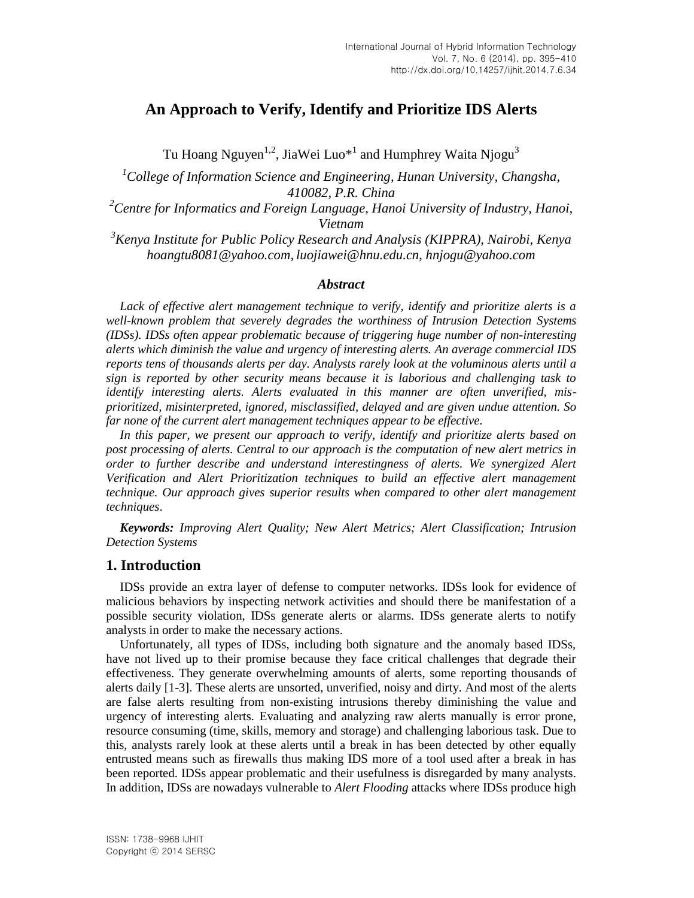# **An Approach to Verify, Identify and Prioritize IDS Alerts**

Tu Hoang Nguyen $^{1,2}$ , JiaWei Luo $^{\ast}{}^{1}$  and Humphrey Waita Njogu $^{3}$ 

*<sup>1</sup>College of Information Science and Engineering, Hunan University, Changsha, 410082, P.R. China*

*<sup>2</sup>Centre for Informatics and Foreign Language, Hanoi University of Industry, Hanoi, Vietnam*

*<sup>3</sup>Kenya Institute for Public Policy Research and Analysis (KIPPRA), Nairobi, Kenya [hoangtu8081@yahoo.com,](mailto:hoangtu8081@yahoo.com) [luojiawei@hnu.edu.cn,](mailto:luojiawei@hnu.edu.cn) [hnjogu@yahoo.com](mailto:hnjogu@yahoo.com)*

#### *Abstract*

*Lack of effective alert management technique to verify, identify and prioritize alerts is a well-known problem that severely degrades the worthiness of Intrusion Detection Systems (IDSs). IDSs often appear problematic because of triggering huge number of non-interesting alerts which diminish the value and urgency of interesting alerts. An average commercial IDS reports tens of thousands alerts per day. Analysts rarely look at the voluminous alerts until a sign is reported by other security means because it is laborious and challenging task to identify interesting alerts. Alerts evaluated in this manner are often unverified, misprioritized, misinterpreted, ignored, misclassified, delayed and are given undue attention. So far none of the current alert management techniques appear to be effective.*

*In this paper, we present our approach to verify, identify and prioritize alerts based on post processing of alerts. Central to our approach is the computation of new alert metrics in order to further describe and understand interestingness of alerts. We synergized Alert Verification and Alert Prioritization techniques to build an effective alert management technique. Our approach gives superior results when compared to other alert management techniques*.

*Keywords: Improving Alert Quality; New Alert Metrics; Alert Classification; Intrusion Detection Systems*

### **1. Introduction**

IDSs provide an extra layer of defense to computer networks. IDSs look for evidence of malicious behaviors by inspecting network activities and should there be manifestation of a possible security violation, IDSs generate alerts or alarms. IDSs generate alerts to notify analysts in order to make the necessary actions.

Unfortunately, all types of IDSs, including both signature and the anomaly based IDSs, have not lived up to their promise because they face critical challenges that degrade their effectiveness. They generate overwhelming amounts of alerts, some reporting thousands of alerts daily [1-3]. These alerts are unsorted, unverified, noisy and dirty. And most of the alerts are false alerts resulting from non-existing intrusions thereby diminishing the value and urgency of interesting alerts. Evaluating and analyzing raw alerts manually is error prone, resource consuming (time, skills, memory and storage) and challenging laborious task. Due to this, analysts rarely look at these alerts until a break in has been detected by other equally entrusted means such as firewalls thus making IDS more of a tool used after a break in has been reported. IDSs appear problematic and their usefulness is disregarded by many analysts. In addition, IDSs are nowadays vulnerable to *Alert Flooding* attacks where IDSs produce high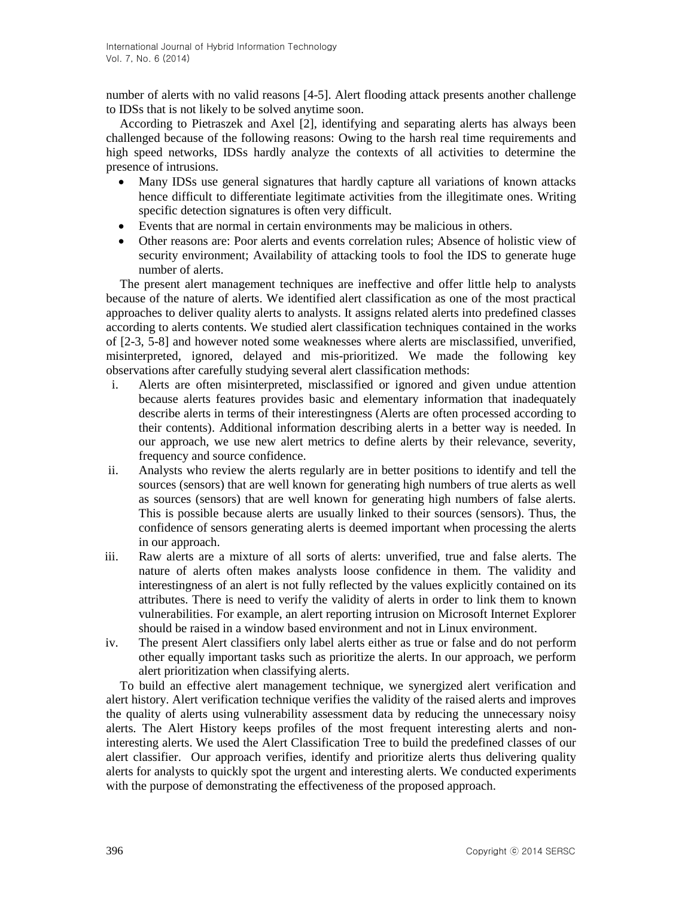number of alerts with no valid reasons [4-5]. Alert flooding attack presents another challenge to IDSs that is not likely to be solved anytime soon.

According to Pietraszek and Axel [2], identifying and separating alerts has always been challenged because of the following reasons: Owing to the harsh real time requirements and high speed networks, IDSs hardly analyze the contexts of all activities to determine the presence of intrusions.

- Many IDSs use general signatures that hardly capture all variations of known attacks hence difficult to differentiate legitimate activities from the illegitimate ones. Writing specific detection signatures is often very difficult.
- Events that are normal in certain environments may be malicious in others.
- Other reasons are: Poor alerts and events correlation rules; Absence of holistic view of security environment; Availability of attacking tools to fool the IDS to generate huge number of alerts.

The present alert management techniques are ineffective and offer little help to analysts because of the nature of alerts. We identified alert classification as one of the most practical approaches to deliver quality alerts to analysts. It assigns related alerts into predefined classes according to alerts contents. We studied alert classification techniques contained in the works of [2-3, 5-8] and however noted some weaknesses where alerts are misclassified, unverified, misinterpreted, ignored, delayed and mis-prioritized. We made the following key observations after carefully studying several alert classification methods:

- i. Alerts are often misinterpreted, misclassified or ignored and given undue attention because alerts features provides basic and elementary information that inadequately describe alerts in terms of their interestingness (Alerts are often processed according to their contents). Additional information describing alerts in a better way is needed. In our approach, we use new alert metrics to define alerts by their relevance, severity, frequency and source confidence.
- ii. Analysts who review the alerts regularly are in better positions to identify and tell the sources (sensors) that are well known for generating high numbers of true alerts as well as sources (sensors) that are well known for generating high numbers of false alerts. This is possible because alerts are usually linked to their sources (sensors). Thus, the confidence of sensors generating alerts is deemed important when processing the alerts in our approach.
- iii. Raw alerts are a mixture of all sorts of alerts: unverified, true and false alerts. The nature of alerts often makes analysts loose confidence in them. The validity and interestingness of an alert is not fully reflected by the values explicitly contained on its attributes. There is need to verify the validity of alerts in order to link them to known vulnerabilities. For example, an alert reporting intrusion on Microsoft Internet Explorer should be raised in a window based environment and not in Linux environment.
- iv. The present Alert classifiers only label alerts either as true or false and do not perform other equally important tasks such as prioritize the alerts. In our approach, we perform alert prioritization when classifying alerts.

To build an effective alert management technique, we synergized alert verification and alert history. Alert verification technique verifies the validity of the raised alerts and improves the quality of alerts using vulnerability assessment data by reducing the unnecessary noisy alerts. The Alert History keeps profiles of the most frequent interesting alerts and noninteresting alerts. We used the Alert Classification Tree to build the predefined classes of our alert classifier. Our approach verifies, identify and prioritize alerts thus delivering quality alerts for analysts to quickly spot the urgent and interesting alerts. We conducted experiments with the purpose of demonstrating the effectiveness of the proposed approach.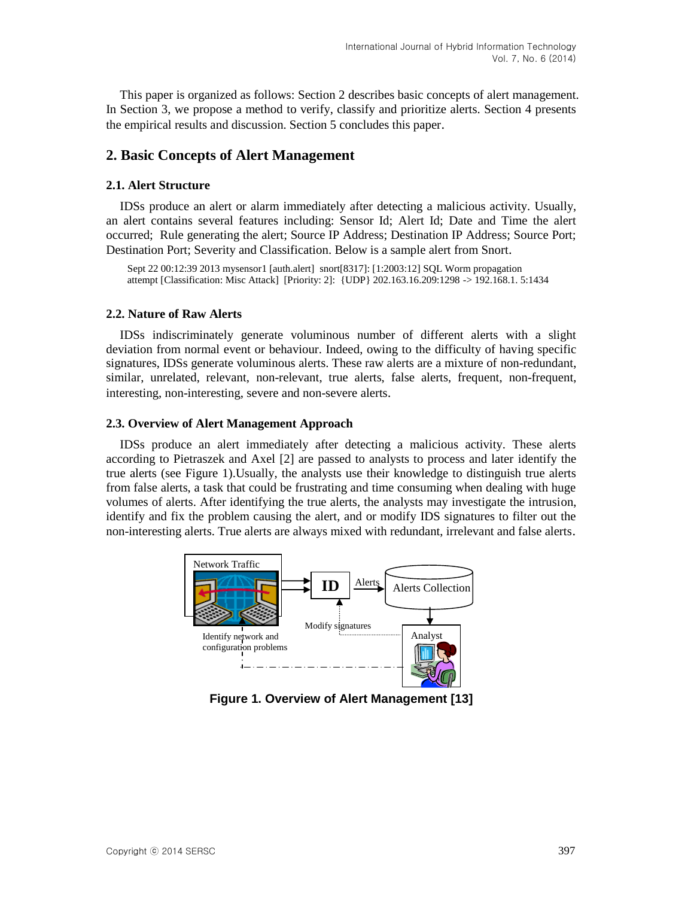This paper is organized as follows: Section 2 describes basic concepts of alert management. In Section 3, we propose a method to verify, classify and prioritize alerts. Section 4 presents the empirical results and discussion. Section 5 concludes this paper.

## **2. Basic Concepts of Alert Management**

#### **2.1. Alert Structure**

IDSs produce an alert or alarm immediately after detecting a malicious activity. Usually, an alert contains several features including: Sensor Id; Alert Id; Date and Time the alert occurred; Rule generating the alert; Source IP Address; Destination IP Address; Source Port; Destination Port; Severity and Classification. Below is a sample alert from Snort.

Sept 22 00:12:39 2013 mysensor1 [auth.alert] snort[8317]: [1:2003:12] SQL Worm propagation attempt [Classification: Misc Attack] [Priority: 2]: {UDP} 202.163.16.209:1298 -> 192.168.1. 5:1434

#### **2.2. Nature of Raw Alerts**

IDSs indiscriminately generate voluminous number of different alerts with a slight deviation from normal event or behaviour. Indeed, owing to the difficulty of having specific signatures, IDSs generate voluminous alerts. These raw alerts are a mixture of non-redundant, similar, unrelated, relevant, non-relevant, true alerts, false alerts, frequent, non-frequent, interesting, non-interesting, severe and non-severe alerts.

### **2.3. Overview of Alert Management Approach**

IDSs produce an alert immediately after detecting a malicious activity. These alerts according to Pietraszek and Axel [2] are passed to analysts to process and later identify the true alerts (see Figure 1).Usually, the analysts use their knowledge to distinguish true alerts from false alerts, a task that could be frustrating and time consuming when dealing with huge volumes of alerts. After identifying the true alerts, the analysts may investigate the intrusion, identify and fix the problem causing the alert, and or modify IDS signatures to filter out the non-interesting alerts. True alerts are always mixed with redundant, irrelevant and false alerts.



**Figure 1. Overview of Alert Management [13]**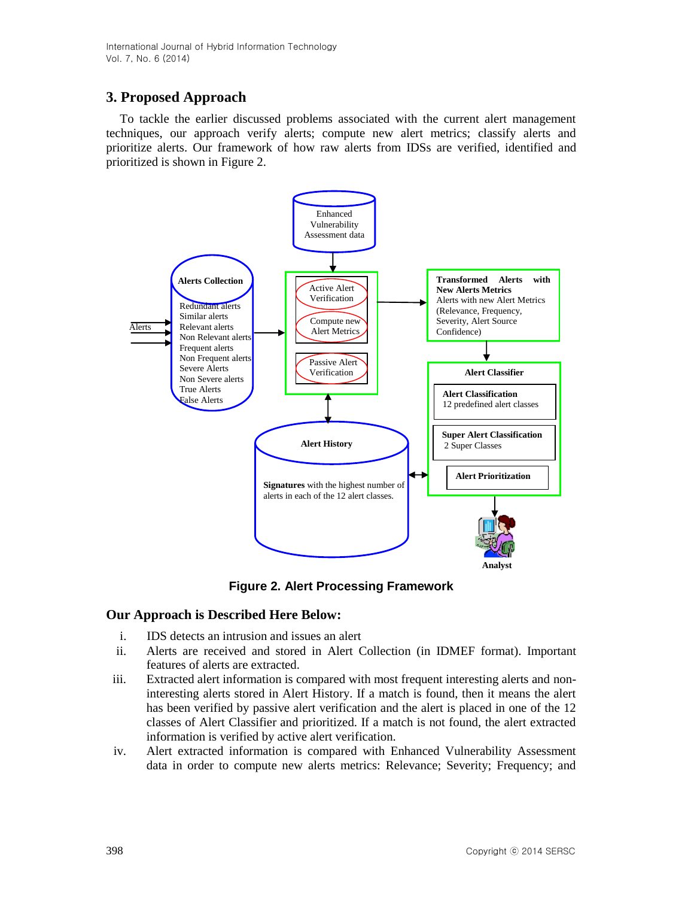# **3. Proposed Approach**

To tackle the earlier discussed problems associated with the current alert management techniques, our approach verify alerts; compute new alert metrics; classify alerts and prioritize alerts. Our framework of how raw alerts from IDSs are verified, identified and prioritized is shown in Figure 2.



**Figure 2. Alert Processing Framework**

# **Our Approach is Described Here Below:**

- i. IDS detects an intrusion and issues an alert
- ii. Alerts are received and stored in Alert Collection (in IDMEF format). Important features of alerts are extracted.
- iii. Extracted alert information is compared with most frequent interesting alerts and noninteresting alerts stored in Alert History. If a match is found, then it means the alert has been verified by passive alert verification and the alert is placed in one of the 12 classes of Alert Classifier and prioritized. If a match is not found, the alert extracted information is verified by active alert verification.
- iv. Alert extracted information is compared with Enhanced Vulnerability Assessment data in order to compute new alerts metrics: Relevance; Severity; Frequency; and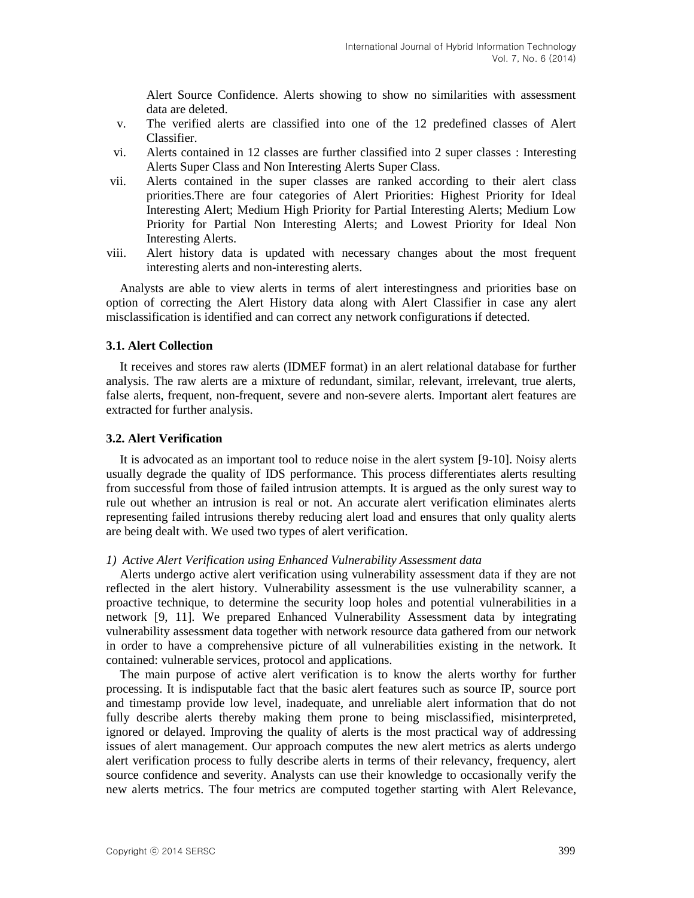Alert Source Confidence. Alerts showing to show no similarities with assessment data are deleted.

- v. The verified alerts are classified into one of the 12 predefined classes of Alert Classifier.
- vi. Alerts contained in 12 classes are further classified into 2 super classes : Interesting Alerts Super Class and Non Interesting Alerts Super Class.
- vii. Alerts contained in the super classes are ranked according to their alert class priorities.There are four categories of Alert Priorities: Highest Priority for Ideal Interesting Alert; Medium High Priority for Partial Interesting Alerts; Medium Low Priority for Partial Non Interesting Alerts; and Lowest Priority for Ideal Non Interesting Alerts.
- viii. Alert history data is updated with necessary changes about the most frequent interesting alerts and non-interesting alerts.

Analysts are able to view alerts in terms of alert interestingness and priorities base on option of correcting the Alert History data along with Alert Classifier in case any alert misclassification is identified and can correct any network configurations if detected.

### **3.1. Alert Collection**

It receives and stores raw alerts (IDMEF format) in an alert relational database for further analysis. The raw alerts are a mixture of redundant, similar, relevant, irrelevant, true alerts, false alerts, frequent, non-frequent, severe and non-severe alerts. Important alert features are extracted for further analysis.

### **3.2. Alert Verification**

It is advocated as an important tool to reduce noise in the alert system [9-10]. Noisy alerts usually degrade the quality of IDS performance. This process differentiates alerts resulting from successful from those of failed intrusion attempts. It is argued as the only surest way to rule out whether an intrusion is real or not. An accurate alert verification eliminates alerts representing failed intrusions thereby reducing alert load and ensures that only quality alerts are being dealt with. We used two types of alert verification.

#### *1) Active Alert Verification using Enhanced Vulnerability Assessment data*

Alerts undergo active alert verification using vulnerability assessment data if they are not reflected in the alert history. Vulnerability assessment is the use vulnerability scanner, a proactive technique, to determine the security loop holes and potential vulnerabilities in a network [9, 11]. We prepared Enhanced Vulnerability Assessment data by integrating vulnerability assessment data together with network resource data gathered from our network in order to have a comprehensive picture of all vulnerabilities existing in the network. It contained: vulnerable services, protocol and applications.

The main purpose of active alert verification is to know the alerts worthy for further processing. It is indisputable fact that the basic alert features such as source IP, source port and timestamp provide low level, inadequate, and unreliable alert information that do not fully describe alerts thereby making them prone to being misclassified, misinterpreted, ignored or delayed. Improving the quality of alerts is the most practical way of addressing issues of alert management. Our approach computes the new alert metrics as alerts undergo alert verification process to fully describe alerts in terms of their relevancy, frequency, alert source confidence and severity. Analysts can use their knowledge to occasionally verify the new alerts metrics. The four metrics are computed together starting with Alert Relevance,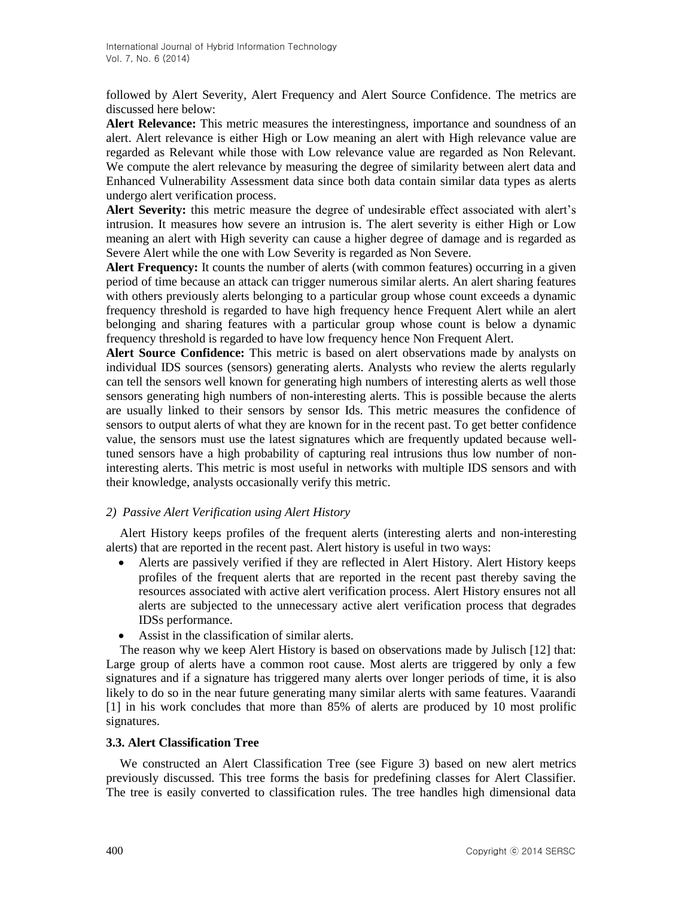followed by Alert Severity, Alert Frequency and Alert Source Confidence. The metrics are discussed here below:

**Alert Relevance:** This metric measures the interestingness, importance and soundness of an alert. Alert relevance is either High or Low meaning an alert with High relevance value are regarded as Relevant while those with Low relevance value are regarded as Non Relevant. We compute the alert relevance by measuring the degree of similarity between alert data and Enhanced Vulnerability Assessment data since both data contain similar data types as alerts undergo alert verification process.

**Alert Severity:** this metric measure the degree of undesirable effect associated with alert's intrusion. It measures how severe an intrusion is. The alert severity is either High or Low meaning an alert with High severity can cause a higher degree of damage and is regarded as Severe Alert while the one with Low Severity is regarded as Non Severe.

**Alert Frequency:** It counts the number of alerts (with common features) occurring in a given period of time because an attack can trigger numerous similar alerts. An alert sharing features with others previously alerts belonging to a particular group whose count exceeds a dynamic frequency threshold is regarded to have high frequency hence Frequent Alert while an alert belonging and sharing features with a particular group whose count is below a dynamic frequency threshold is regarded to have low frequency hence Non Frequent Alert.

**Alert Source Confidence:** This metric is based on alert observations made by analysts on individual IDS sources (sensors) generating alerts. Analysts who review the alerts regularly can tell the sensors well known for generating high numbers of interesting alerts as well those sensors generating high numbers of non-interesting alerts. This is possible because the alerts are usually linked to their sensors by sensor Ids. This metric measures the confidence of sensors to output alerts of what they are known for in the recent past. To get better confidence value, the sensors must use the latest signatures which are frequently updated because welltuned sensors have a high probability of capturing real intrusions thus low number of noninteresting alerts. This metric is most useful in networks with multiple IDS sensors and with their knowledge, analysts occasionally verify this metric.

### *2) Passive Alert Verification using Alert History*

Alert History keeps profiles of the frequent alerts (interesting alerts and non-interesting alerts) that are reported in the recent past. Alert history is useful in two ways:

- Alerts are passively verified if they are reflected in Alert History. Alert History keeps profiles of the frequent alerts that are reported in the recent past thereby saving the resources associated with active alert verification process. Alert History ensures not all alerts are subjected to the unnecessary active alert verification process that degrades IDSs performance.
- Assist in the classification of similar alerts.

The reason why we keep Alert History is based on observations made by Julisch [12] that: Large group of alerts have a common root cause. Most alerts are triggered by only a few signatures and if a signature has triggered many alerts over longer periods of time, it is also likely to do so in the near future generating many similar alerts with same features. Vaarandi [1] in his work concludes that more than 85% of alerts are produced by 10 most prolific signatures.

#### **3.3. Alert Classification Tree**

We constructed an Alert Classification Tree (see Figure 3) based on new alert metrics previously discussed. This tree forms the basis for predefining classes for Alert Classifier. The tree is easily converted to classification rules. The tree handles high dimensional data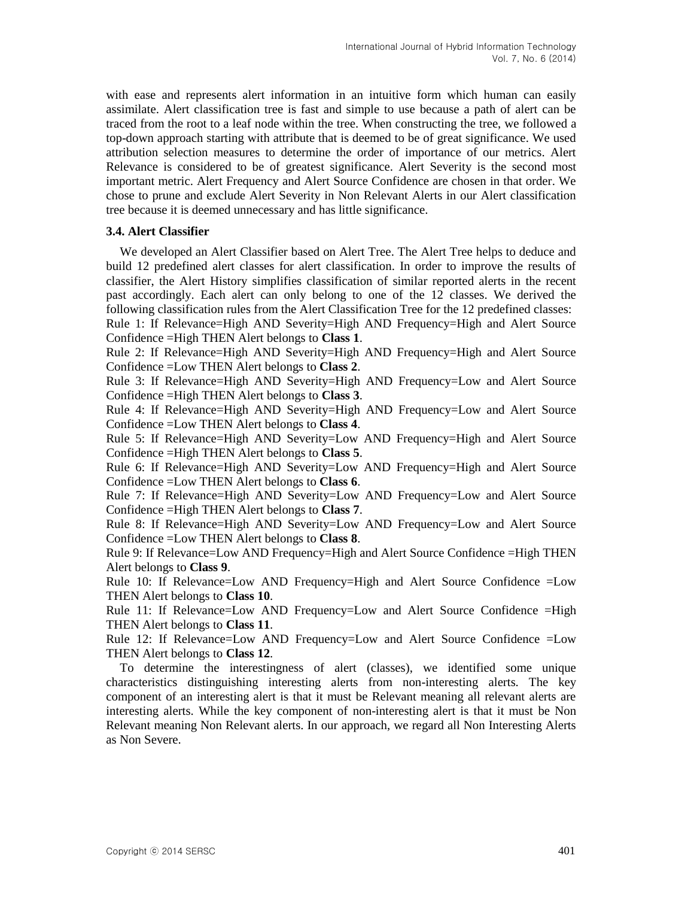with ease and represents alert information in an intuitive form which human can easily assimilate. Alert classification tree is fast and simple to use because a path of alert can be traced from the root to a leaf node within the tree. When constructing the tree, we followed a top-down approach starting with attribute that is deemed to be of great significance. We used attribution selection measures to determine the order of importance of our metrics. Alert Relevance is considered to be of greatest significance. Alert Severity is the second most important metric. Alert Frequency and Alert Source Confidence are chosen in that order. We chose to prune and exclude Alert Severity in Non Relevant Alerts in our Alert classification tree because it is deemed unnecessary and has little significance.

#### **3.4. Alert Classifier**

We developed an Alert Classifier based on Alert Tree. The Alert Tree helps to deduce and build 12 predefined alert classes for alert classification. In order to improve the results of classifier, the Alert History simplifies classification of similar reported alerts in the recent past accordingly. Each alert can only belong to one of the 12 classes. We derived the following classification rules from the Alert Classification Tree for the 12 predefined classes: Rule 1: If Relevance=High AND Severity=High AND Frequency=High and Alert Source

Confidence =High THEN Alert belongs to **Class 1**.

Rule 2: If Relevance=High AND Severity=High AND Frequency=High and Alert Source Confidence =Low THEN Alert belongs to **Class 2**.

Rule 3: If Relevance=High AND Severity=High AND Frequency=Low and Alert Source Confidence =High THEN Alert belongs to **Class 3**.

Rule 4: If Relevance=High AND Severity=High AND Frequency=Low and Alert Source Confidence =Low THEN Alert belongs to **Class 4**.

Rule 5: If Relevance=High AND Severity=Low AND Frequency=High and Alert Source Confidence =High THEN Alert belongs to **Class 5**.

Rule 6: If Relevance=High AND Severity=Low AND Frequency=High and Alert Source Confidence =Low THEN Alert belongs to **Class 6**.

Rule 7: If Relevance=High AND Severity=Low AND Frequency=Low and Alert Source Confidence =High THEN Alert belongs to **Class 7**.

Rule 8: If Relevance=High AND Severity=Low AND Frequency=Low and Alert Source Confidence =Low THEN Alert belongs to **Class 8**.

Rule 9: If Relevance=Low AND Frequency=High and Alert Source Confidence =High THEN Alert belongs to **Class 9**.

Rule 10: If Relevance=Low AND Frequency=High and Alert Source Confidence =Low THEN Alert belongs to **Class 10**.

Rule 11: If Relevance=Low AND Frequency=Low and Alert Source Confidence =High THEN Alert belongs to **Class 11**.

Rule 12: If Relevance=Low AND Frequency=Low and Alert Source Confidence =Low THEN Alert belongs to **Class 12**.

To determine the interestingness of alert (classes), we identified some unique characteristics distinguishing interesting alerts from non-interesting alerts. The key component of an interesting alert is that it must be Relevant meaning all relevant alerts are interesting alerts. While the key component of non-interesting alert is that it must be Non Relevant meaning Non Relevant alerts. In our approach, we regard all Non Interesting Alerts as Non Severe.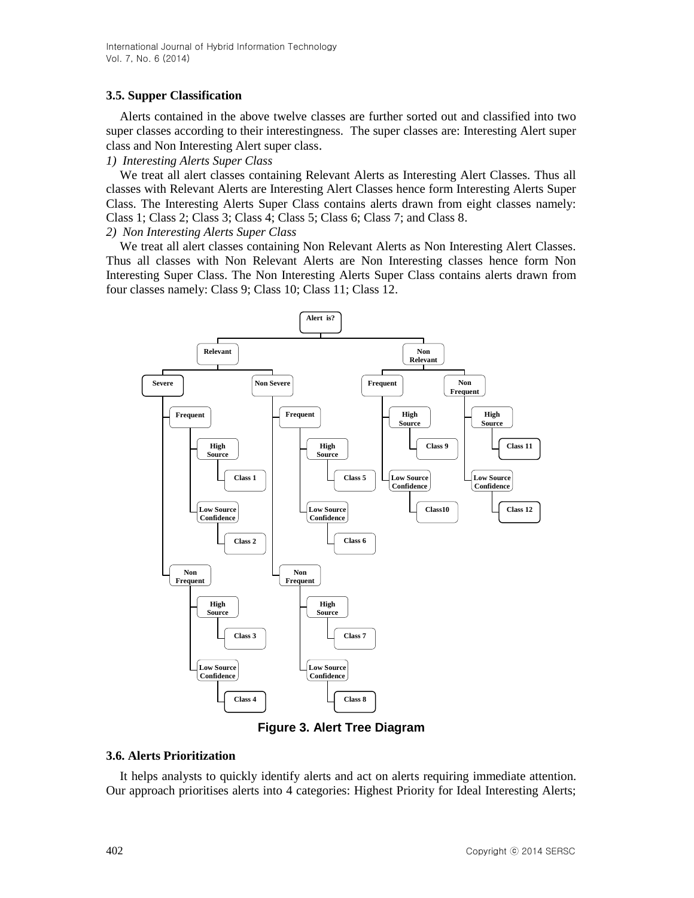### **3.5. Supper Classification**

Alerts contained in the above twelve classes are further sorted out and classified into two super classes according to their interestingness. The super classes are: Interesting Alert super class and Non Interesting Alert super class.

### *1) Interesting Alerts Super Class*

We treat all alert classes containing Relevant Alerts as Interesting Alert Classes. Thus all classes with Relevant Alerts are Interesting Alert Classes hence form Interesting Alerts Super Class. The Interesting Alerts Super Class contains alerts drawn from eight classes namely: Class 1; Class 2; Class 3; Class 4; Class 5; Class 6; Class 7; and Class 8.

### *2) Non Interesting Alerts Super Class*

We treat all alert classes containing Non Relevant Alerts as Non Interesting Alert Classes. Thus all classes with Non Relevant Alerts are Non Interesting classes hence form Non Interesting Super Class. The Non Interesting Alerts Super Class contains alerts drawn from four classes namely: Class 9; Class 10; Class 11; Class 12.



**Figure 3. Alert Tree Diagram**

### **3.6. Alerts Prioritization**

It helps analysts to quickly identify alerts and act on alerts requiring immediate attention. Our approach prioritises alerts into 4 categories: Highest Priority for Ideal Interesting Alerts;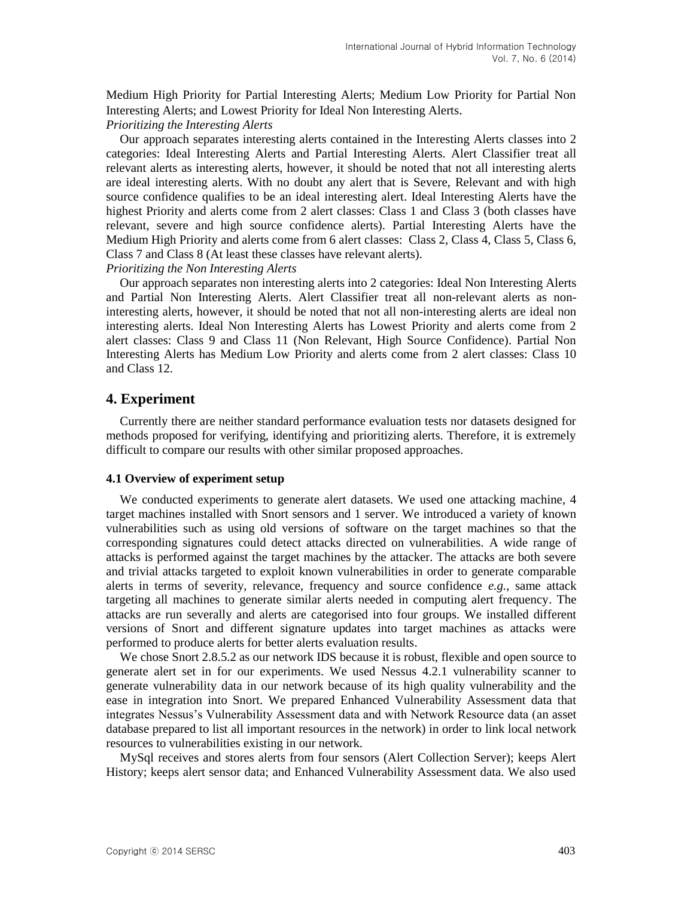Medium High Priority for Partial Interesting Alerts; Medium Low Priority for Partial Non Interesting Alerts; and Lowest Priority for Ideal Non Interesting Alerts.

### *Prioritizing the Interesting Alerts*

Our approach separates interesting alerts contained in the Interesting Alerts classes into 2 categories: Ideal Interesting Alerts and Partial Interesting Alerts. Alert Classifier treat all relevant alerts as interesting alerts, however, it should be noted that not all interesting alerts are ideal interesting alerts. With no doubt any alert that is Severe, Relevant and with high source confidence qualifies to be an ideal interesting alert. Ideal Interesting Alerts have the highest Priority and alerts come from 2 alert classes: Class 1 and Class 3 (both classes have relevant, severe and high source confidence alerts). Partial Interesting Alerts have the Medium High Priority and alerts come from 6 alert classes: Class 2, Class 4, Class 5, Class 6, Class 7 and Class 8 (At least these classes have relevant alerts).

*Prioritizing the Non Interesting Alerts*

Our approach separates non interesting alerts into 2 categories: Ideal Non Interesting Alerts and Partial Non Interesting Alerts. Alert Classifier treat all non-relevant alerts as noninteresting alerts, however, it should be noted that not all non-interesting alerts are ideal non interesting alerts. Ideal Non Interesting Alerts has Lowest Priority and alerts come from 2 alert classes: Class 9 and Class 11 (Non Relevant, High Source Confidence). Partial Non Interesting Alerts has Medium Low Priority and alerts come from 2 alert classes: Class 10 and Class 12.

### **4. Experiment**

Currently there are neither standard performance evaluation tests nor datasets designed for methods proposed for verifying, identifying and prioritizing alerts. Therefore, it is extremely difficult to compare our results with other similar proposed approaches.

#### **4.1 Overview of experiment setup**

We conducted experiments to generate alert datasets. We used one attacking machine, 4 target machines installed with Snort sensors and 1 server. We introduced a variety of known vulnerabilities such as using old versions of software on the target machines so that the corresponding signatures could detect attacks directed on vulnerabilities. A wide range of attacks is performed against the target machines by the attacker. The attacks are both severe and trivial attacks targeted to exploit known vulnerabilities in order to generate comparable alerts in terms of severity, relevance, frequency and source confidence *e.g.*, same attack targeting all machines to generate similar alerts needed in computing alert frequency. The attacks are run severally and alerts are categorised into four groups. We installed different versions of Snort and different signature updates into target machines as attacks were performed to produce alerts for better alerts evaluation results.

We chose Snort 2.8.5.2 as our network IDS because it is robust, flexible and open source to generate alert set in for our experiments. We used Nessus 4.2.1 vulnerability scanner to generate vulnerability data in our network because of its high quality vulnerability and the ease in integration into Snort. We prepared Enhanced Vulnerability Assessment data that integrates Nessus's Vulnerability Assessment data and with Network Resource data (an asset database prepared to list all important resources in the network) in order to link local network resources to vulnerabilities existing in our network.

MySql receives and stores alerts from four sensors (Alert Collection Server); keeps Alert History; keeps alert sensor data; and Enhanced Vulnerability Assessment data. We also used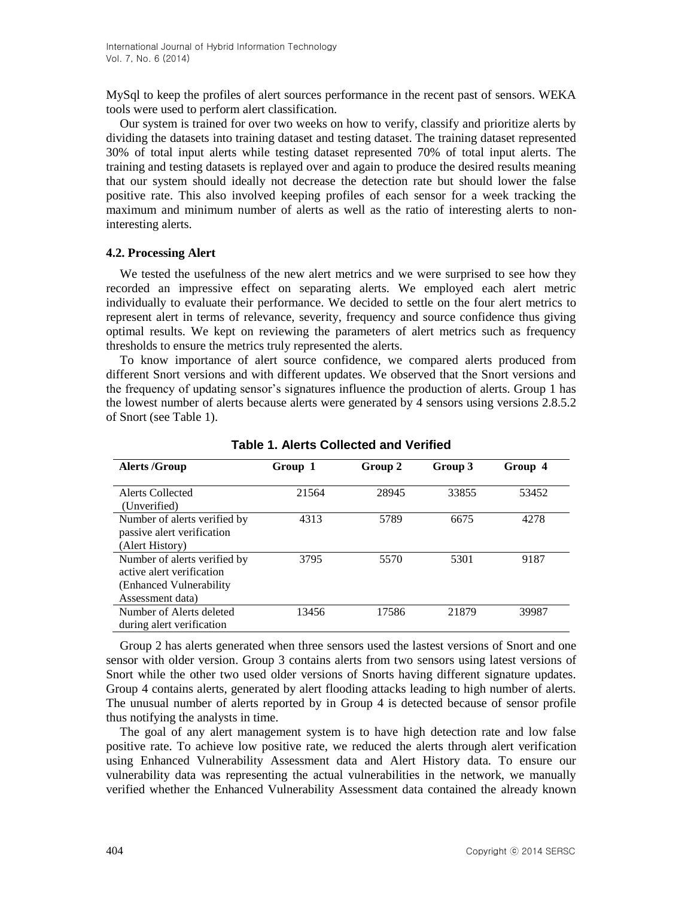MySql to keep the profiles of alert sources performance in the recent past of sensors. WEKA tools were used to perform alert classification.

Our system is trained for over two weeks on how to verify, classify and prioritize alerts by dividing the datasets into training dataset and testing dataset. The training dataset represented 30% of total input alerts while testing dataset represented 70% of total input alerts. The training and testing datasets is replayed over and again to produce the desired results meaning that our system should ideally not decrease the detection rate but should lower the false positive rate. This also involved keeping profiles of each sensor for a week tracking the maximum and minimum number of alerts as well as the ratio of interesting alerts to noninteresting alerts.

#### **4.2. Processing Alert**

We tested the usefulness of the new alert metrics and we were surprised to see how they recorded an impressive effect on separating alerts. We employed each alert metric individually to evaluate their performance. We decided to settle on the four alert metrics to represent alert in terms of relevance, severity, frequency and source confidence thus giving optimal results. We kept on reviewing the parameters of alert metrics such as frequency thresholds to ensure the metrics truly represented the alerts.

To know importance of alert source confidence, we compared alerts produced from different Snort versions and with different updates. We observed that the Snort versions and the frequency of updating sensor's signatures influence the production of alerts. Group 1 has the lowest number of alerts because alerts were generated by 4 sensors using versions 2.8.5.2 of Snort (see Table 1).

| <b>Alerts /Group</b>                                                                                      | Group 1 | Group 2 | Group 3 | Group 4 |
|-----------------------------------------------------------------------------------------------------------|---------|---------|---------|---------|
| Alerts Collected<br>(Unverified)                                                                          | 21564   | 28945   | 33855   | 53452   |
| Number of alerts verified by<br>passive alert verification<br>(Alert History)                             | 4313    | 5789    | 6675    | 4278    |
| Number of alerts verified by<br>active alert verification<br>(Enhanced Vulnerability)<br>Assessment data) | 3795    | 5570    | 5301    | 9187    |
| Number of Alerts deleted<br>during alert verification                                                     | 13456   | 17586   | 21879   | 39987   |

**Table 1. Alerts Collected and Verified**

Group 2 has alerts generated when three sensors used the lastest versions of Snort and one sensor with older version. Group 3 contains alerts from two sensors using latest versions of Snort while the other two used older versions of Snorts having different signature updates. Group 4 contains alerts, generated by alert flooding attacks leading to high number of alerts. The unusual number of alerts reported by in Group 4 is detected because of sensor profile thus notifying the analysts in time.

The goal of any alert management system is to have high detection rate and low false positive rate. To achieve low positive rate, we reduced the alerts through alert verification using Enhanced Vulnerability Assessment data and Alert History data. To ensure our vulnerability data was representing the actual vulnerabilities in the network, we manually verified whether the Enhanced Vulnerability Assessment data contained the already known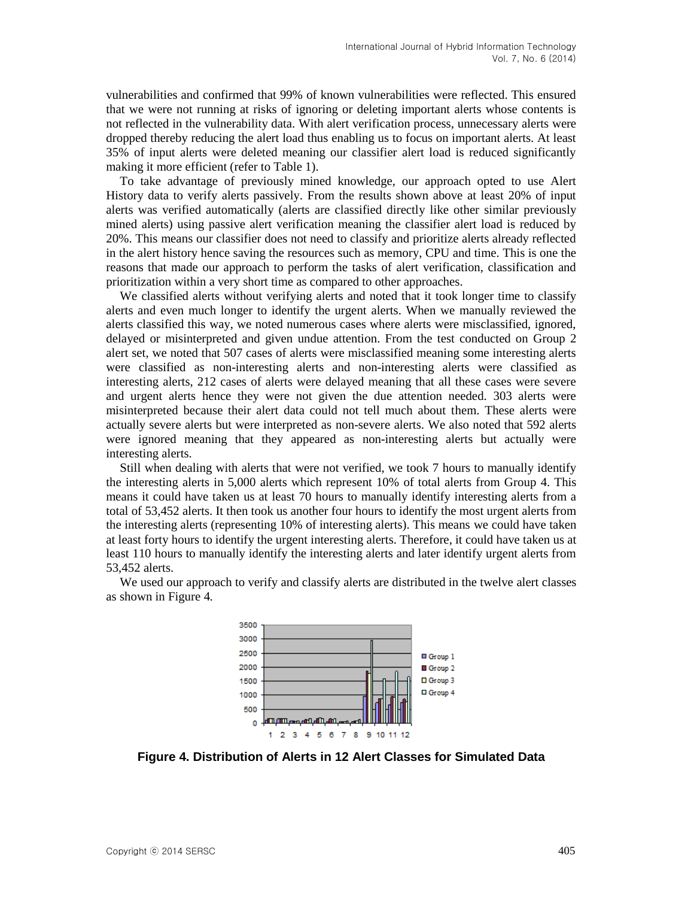vulnerabilities and confirmed that 99% of known vulnerabilities were reflected. This ensured that we were not running at risks of ignoring or deleting important alerts whose contents is not reflected in the vulnerability data. With alert verification process, unnecessary alerts were dropped thereby reducing the alert load thus enabling us to focus on important alerts. At least 35% of input alerts were deleted meaning our classifier alert load is reduced significantly making it more efficient (refer to Table 1).

To take advantage of previously mined knowledge, our approach opted to use Alert History data to verify alerts passively. From the results shown above at least 20% of input alerts was verified automatically (alerts are classified directly like other similar previously mined alerts) using passive alert verification meaning the classifier alert load is reduced by 20%. This means our classifier does not need to classify and prioritize alerts already reflected in the alert history hence saving the resources such as memory, CPU and time. This is one the reasons that made our approach to perform the tasks of alert verification, classification and prioritization within a very short time as compared to other approaches.

We classified alerts without verifying alerts and noted that it took longer time to classify alerts and even much longer to identify the urgent alerts. When we manually reviewed the alerts classified this way, we noted numerous cases where alerts were misclassified, ignored, delayed or misinterpreted and given undue attention. From the test conducted on Group 2 alert set, we noted that 507 cases of alerts were misclassified meaning some interesting alerts were classified as non-interesting alerts and non-interesting alerts were classified as interesting alerts, 212 cases of alerts were delayed meaning that all these cases were severe and urgent alerts hence they were not given the due attention needed. 303 alerts were misinterpreted because their alert data could not tell much about them. These alerts were actually severe alerts but were interpreted as non-severe alerts. We also noted that 592 alerts were ignored meaning that they appeared as non-interesting alerts but actually were interesting alerts.

Still when dealing with alerts that were not verified, we took 7 hours to manually identify the interesting alerts in 5,000 alerts which represent 10% of total alerts from Group 4. This means it could have taken us at least 70 hours to manually identify interesting alerts from a total of 53,452 alerts. It then took us another four hours to identify the most urgent alerts from the interesting alerts (representing 10% of interesting alerts). This means we could have taken at least forty hours to identify the urgent interesting alerts. Therefore, it could have taken us at least 110 hours to manually identify the interesting alerts and later identify urgent alerts from 53,452 alerts.

We used our approach to verify and classify alerts are distributed in the twelve alert classes as shown in Figure 4*.*



**Figure 4. Distribution of Alerts in 12 Alert Classes for Simulated Data**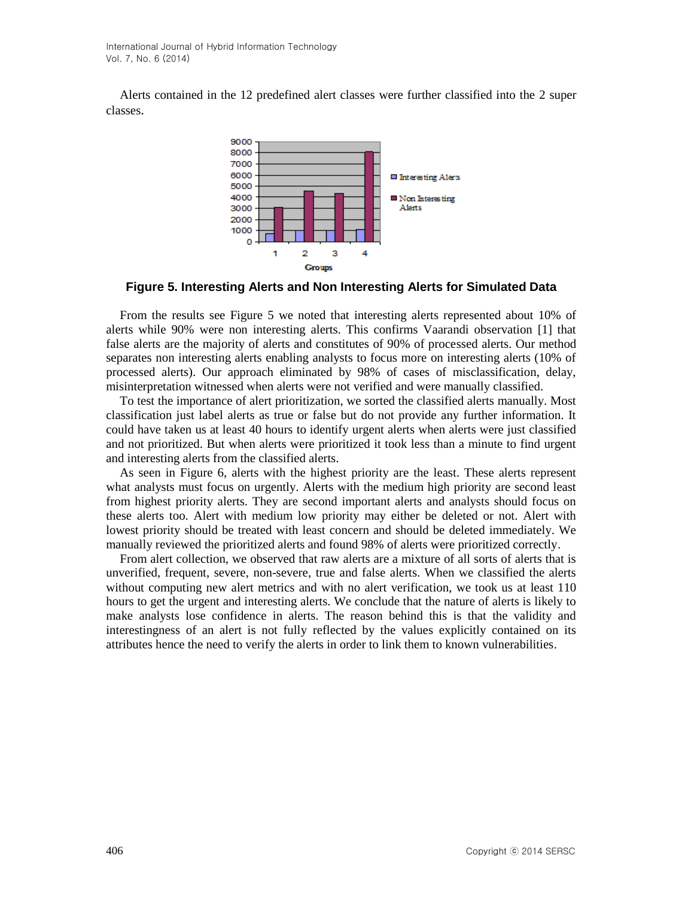Alerts contained in the 12 predefined alert classes were further classified into the 2 super classes.



**Figure 5. Interesting Alerts and Non Interesting Alerts for Simulated Data**

From the results see Figure 5 we noted that interesting alerts represented about 10% of alerts while 90% were non interesting alerts. This confirms Vaarandi observation [1] that false alerts are the majority of alerts and constitutes of 90% of processed alerts. Our method separates non interesting alerts enabling analysts to focus more on interesting alerts (10% of processed alerts). Our approach eliminated by 98% of cases of misclassification, delay, misinterpretation witnessed when alerts were not verified and were manually classified.

To test the importance of alert prioritization, we sorted the classified alerts manually. Most classification just label alerts as true or false but do not provide any further information. It could have taken us at least 40 hours to identify urgent alerts when alerts were just classified and not prioritized. But when alerts were prioritized it took less than a minute to find urgent and interesting alerts from the classified alerts.

As seen in Figure 6, alerts with the highest priority are the least. These alerts represent what analysts must focus on urgently. Alerts with the medium high priority are second least from highest priority alerts. They are second important alerts and analysts should focus on these alerts too. Alert with medium low priority may either be deleted or not. Alert with lowest priority should be treated with least concern and should be deleted immediately. We manually reviewed the prioritized alerts and found 98% of alerts were prioritized correctly.

From alert collection, we observed that raw alerts are a mixture of all sorts of alerts that is unverified, frequent, severe, non-severe, true and false alerts. When we classified the alerts without computing new alert metrics and with no alert verification, we took us at least 110 hours to get the urgent and interesting alerts. We conclude that the nature of alerts is likely to make analysts lose confidence in alerts. The reason behind this is that the validity and interestingness of an alert is not fully reflected by the values explicitly contained on its attributes hence the need to verify the alerts in order to link them to known vulnerabilities.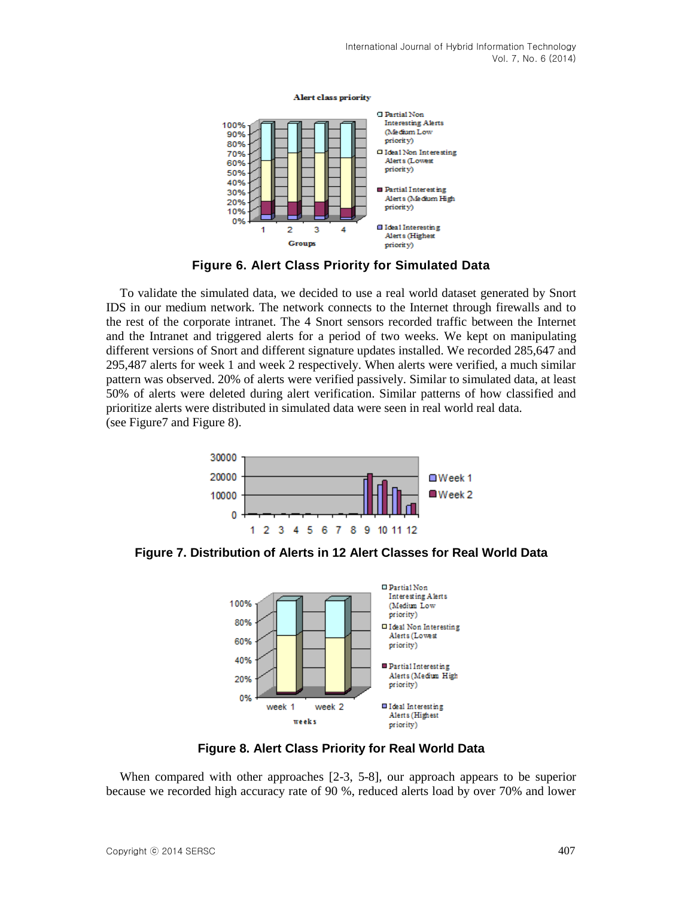

**Figure 6. Alert Class Priority for Simulated Data**

To validate the simulated data, we decided to use a real world dataset generated by Snort IDS in our medium network. The network connects to the Internet through firewalls and to the rest of the corporate intranet. The 4 Snort sensors recorded traffic between the Internet and the Intranet and triggered alerts for a period of two weeks. We kept on manipulating different versions of Snort and different signature updates installed. We recorded 285,647 and 295,487 alerts for week 1 and week 2 respectively. When alerts were verified, a much similar pattern was observed. 20% of alerts were verified passively. Similar to simulated data, at least 50% of alerts were deleted during alert verification. Similar patterns of how classified and prioritize alerts were distributed in simulated data were seen in real world real data. (see Figure7 and Figure 8).



**Figure 7. Distribution of Alerts in 12 Alert Classes for Real World Data**



**Figure 8. Alert Class Priority for Real World Data**

When compared with other approaches [2-3, 5-8], our approach appears to be superior because we recorded high accuracy rate of 90 %, reduced alerts load by over 70% and lower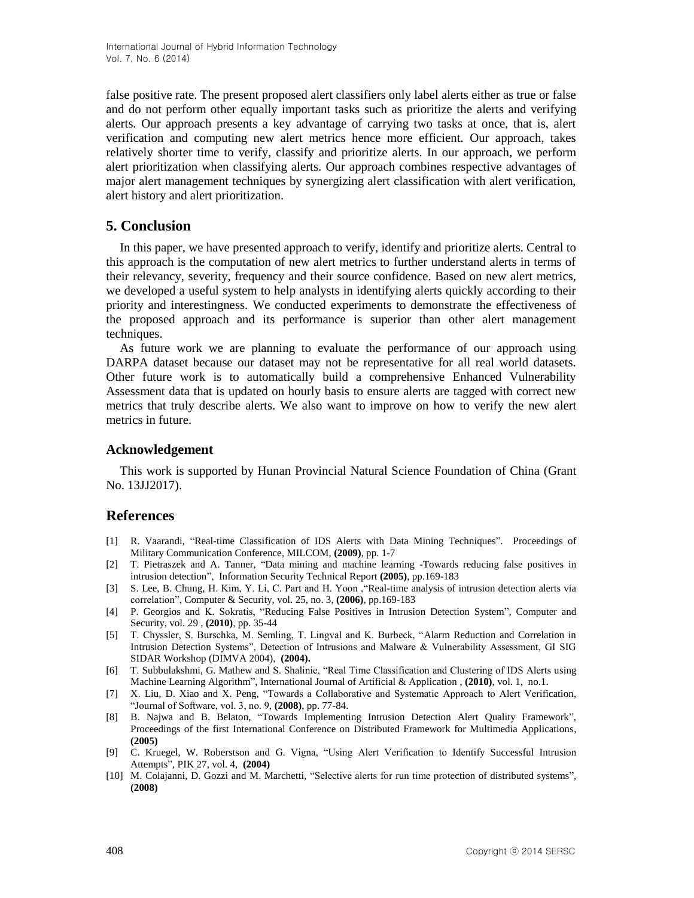false positive rate. The present proposed alert classifiers only label alerts either as true or false and do not perform other equally important tasks such as prioritize the alerts and verifying alerts. Our approach presents a key advantage of carrying two tasks at once, that is, alert verification and computing new alert metrics hence more efficient. Our approach, takes relatively shorter time to verify, classify and prioritize alerts. In our approach, we perform alert prioritization when classifying alerts. Our approach combines respective advantages of major alert management techniques by synergizing alert classification with alert verification, alert history and alert prioritization.

# **5. Conclusion**

In this paper, we have presented approach to verify, identify and prioritize alerts. Central to this approach is the computation of new alert metrics to further understand alerts in terms of their relevancy, severity, frequency and their source confidence. Based on new alert metrics, we developed a useful system to help analysts in identifying alerts quickly according to their priority and interestingness. We conducted experiments to demonstrate the effectiveness of the proposed approach and its performance is superior than other alert management techniques.

As future work we are planning to evaluate the performance of our approach using DARPA dataset because our dataset may not be representative for all real world datasets. Other future work is to automatically build a comprehensive Enhanced Vulnerability Assessment data that is updated on hourly basis to ensure alerts are tagged with correct new metrics that truly describe alerts. We also want to improve on how to verify the new alert metrics in future.

## **Acknowledgement**

This work is supported by Hunan Provincial Natural Science Foundation of China (Grant No. 13JJ2017).

# **References**

- [1] R. Vaarandi, "Real-time Classification of IDS Alerts with Data Mining Techniques". Proceedings of Military Communication Conference, MILCOM, **(2009)**, pp. 1-7
- [2] T. Pietraszek and A. Tanner, "Data mining and machine learning -Towards reducing false positives in intrusion detection", Information Security Technical Report **(2005)**, pp.169-183
- [3] S. Lee, B. Chung, H. Kim, Y. Li, C. Part and H. Yoon ,"Real-time analysis of intrusion detection alerts via correlation", Computer & Security, vol. 25, no. 3, **(2006)**, pp.169-183
- [4] P. Georgios and K. Sokratis, "Reducing False Positives in Intrusion Detection System", Computer and Security, vol. 29 , **(2010)**, pp. 35-44
- [5] T. Chyssler, S. Burschka, M. Semling, T. Lingval and K. Burbeck, "Alarm Reduction and Correlation in Intrusion Detection Systems", Detection of Intrusions and Malware & Vulnerability Assessment, GI SIG SIDAR Workshop (DIMVA 2004), **(2004).**
- [6] T. Subbulakshmi, G. Mathew and S. Shalinie, "Real Time Classification and Clustering of IDS Alerts using Machine Learning Algorithm", International Journal of Artificial & Application , **(2010)**, vol. 1, no.1.
- [7] X. Liu, D. Xiao and X. Peng, "Towards a Collaborative and Systematic Approach to Alert Verification, "Journal of Software, vol. 3, no. 9, **(2008)**, pp. 77-84.
- [8] B. Najwa and B. Belaton, "Towards Implementing Intrusion Detection Alert Quality Framework", Proceedings of the first International Conference on Distributed Framework for Multimedia Applications, **(2005)**
- [9] C. Kruegel, W. Roberstson and G. Vigna, "Using Alert Verification to Identify Successful Intrusion Attempts", PIK 27, vol. 4, **(2004)**
- [10] M. Colajanni, D. Gozzi and M. Marchetti, "Selective alerts for run time protection of distributed systems", **(2008)**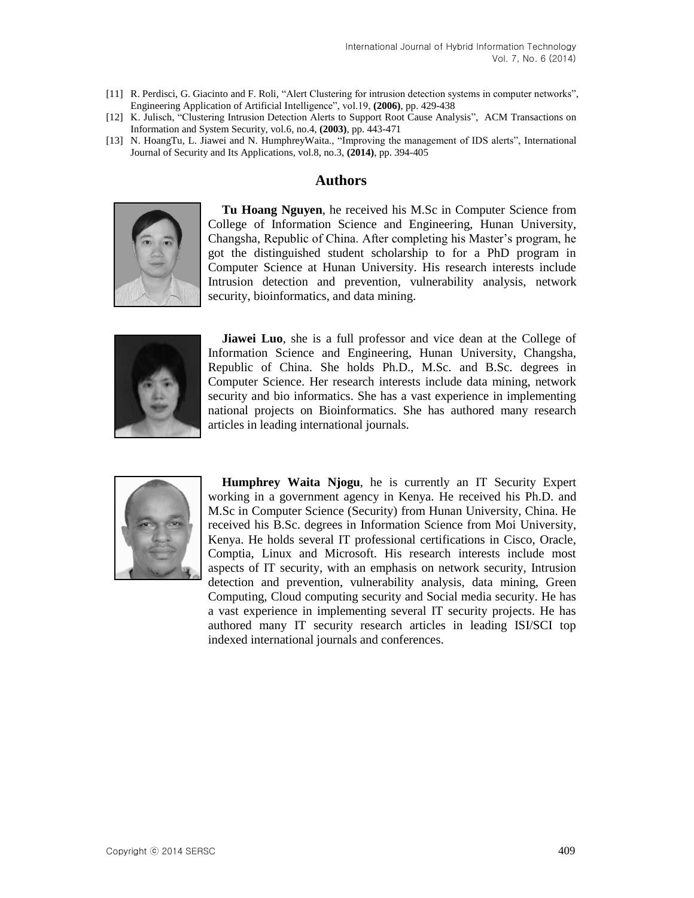- [11] R. Perdisci, G. Giacinto and F. Roli, "Alert Clustering for intrusion detection systems in computer networks", Engineering Application of Artificial Intelligence", vol.19, **(2006)**, pp. 429-438
- [12] K. Julisch, "Clustering Intrusion Detection Alerts to Support Root Cause Analysis", ACM Transactions on Information and System Security, vol.6, no.4, **(2003)**, pp. 443-471
- [13] N. HoangTu, L. Jiawei and N. HumphreyWaita., "Improving the management of IDS alerts", International Journal of Security and Its Applications, vol.8, no.3, **(2014)**, pp. 394-405

# **Authors**



**Tu Hoang Nguyen**, he received his M.Sc in Computer Science from College of Information Science and Engineering, Hunan University, Changsha, Republic of China. After completing his Master's program, he got the distinguished student scholarship to for a PhD program in Computer Science at Hunan University. His research interests include Intrusion detection and prevention, vulnerability analysis, network security, bioinformatics, and data mining.



**Jiawei Luo**, she is a full professor and vice dean at the College of Information Science and Engineering, Hunan University, Changsha, Republic of China. She holds Ph.D., M.Sc. and B.Sc. degrees in Computer Science. Her research interests include data mining, network security and bio informatics. She has a vast experience in implementing national projects on Bioinformatics. She has authored many research articles in leading international journals.



**Humphrey Waita Njogu**, he is currently an IT Security Expert working in a government agency in Kenya. He received his Ph.D. and M.Sc in Computer Science (Security) from Hunan University, China. He received his B.Sc. degrees in Information Science from Moi University, Kenya. He holds several IT professional certifications in Cisco, Oracle, Comptia, Linux and Microsoft. His research interests include most aspects of IT security, with an emphasis on network security, Intrusion detection and prevention, vulnerability analysis, data mining, Green Computing, Cloud computing security and Social media security. He has a vast experience in implementing several IT security projects. He has authored many IT security research articles in leading ISI/SCI top indexed international journals and conferences.